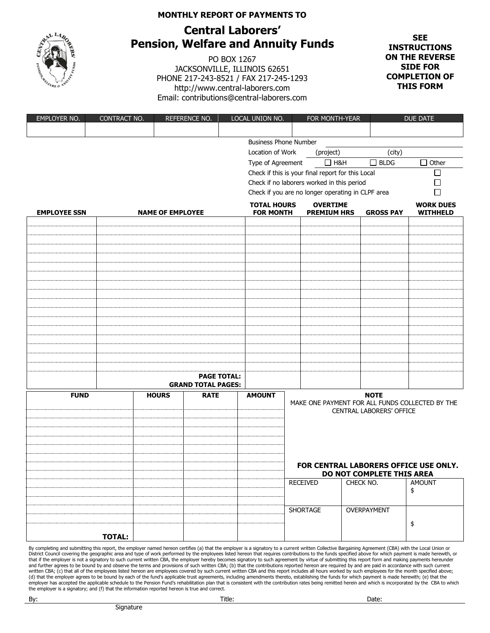## **MONTHLY REPORT OF PAYMENTS TO**



## **Central Laborers' Pension, Welfare and Annuity Funds**

PO BOX 1267 JACKSONVILLE, ILLINOIS 62651 PHONE 217-243-8521 / FAX 217-245-1293 http://www.central-laborers.com Email: contributions@central-laborers.com

**SEE INSTRUCTIONS ON THE REVERSE SIDE FOR COMPLETION OF THIS FORM**

| EMPLOYER NO.        | CONTRACT NO.  |                         | REFERENCE NO.             |                    | LOCAL UNION NO.                        | FOR MONTH-YEAR |                                                             | <b>DUE DATE</b> |                           |                                                 |
|---------------------|---------------|-------------------------|---------------------------|--------------------|----------------------------------------|----------------|-------------------------------------------------------------|-----------------|---------------------------|-------------------------------------------------|
|                     |               |                         |                           |                    |                                        |                |                                                             |                 |                           |                                                 |
|                     |               |                         |                           |                    | <b>Business Phone Number</b>           |                |                                                             |                 |                           |                                                 |
|                     |               |                         |                           |                    | Location of Work                       |                | (project)                                                   |                 | (city)                    |                                                 |
|                     |               |                         |                           |                    | Type of Agreement                      |                | $\Box$ H&H                                                  |                 | $\Box$ BLDG               | $\Box$ Other                                    |
|                     |               |                         |                           |                    |                                        |                | Check if this is your final report for this Local<br>$\Box$ |                 |                           |                                                 |
|                     |               |                         |                           |                    |                                        |                | Check if no laborers worked in this period                  |                 |                           |                                                 |
|                     |               |                         |                           |                    |                                        |                | Check if you are no longer operating in CLPF area           |                 |                           | П                                               |
| <b>EMPLOYEE SSN</b> |               | <b>NAME OF EMPLOYEE</b> |                           |                    | <b>TOTAL HOURS</b><br><b>FOR MONTH</b> |                | <b>OVERTIME</b><br><b>PREMIUM HRS</b>                       |                 | <b>GROSS PAY</b>          | <b>WORK DUES</b><br><b>WITHHELD</b>             |
|                     |               |                         |                           |                    |                                        |                |                                                             |                 |                           |                                                 |
|                     |               |                         |                           |                    |                                        |                |                                                             |                 |                           |                                                 |
|                     |               |                         |                           |                    |                                        |                |                                                             |                 |                           |                                                 |
|                     |               |                         |                           |                    |                                        |                |                                                             |                 |                           |                                                 |
|                     |               |                         |                           |                    |                                        |                |                                                             |                 |                           |                                                 |
|                     |               |                         |                           |                    |                                        |                |                                                             |                 |                           |                                                 |
|                     |               |                         |                           |                    |                                        |                |                                                             |                 |                           |                                                 |
|                     |               |                         |                           |                    |                                        |                |                                                             |                 |                           |                                                 |
|                     |               |                         |                           |                    |                                        |                |                                                             |                 |                           |                                                 |
|                     |               |                         |                           |                    |                                        |                |                                                             |                 |                           |                                                 |
|                     |               |                         |                           |                    |                                        |                |                                                             |                 |                           |                                                 |
|                     |               |                         |                           |                    |                                        |                |                                                             |                 |                           |                                                 |
|                     |               |                         |                           |                    |                                        |                |                                                             |                 |                           |                                                 |
|                     |               |                         |                           |                    |                                        |                |                                                             |                 |                           |                                                 |
|                     |               |                         |                           |                    |                                        |                |                                                             |                 |                           |                                                 |
|                     |               |                         |                           | <b>PAGE TOTAL:</b> |                                        |                |                                                             |                 |                           |                                                 |
|                     |               |                         | <b>GRAND TOTAL PAGES:</b> |                    |                                        |                |                                                             |                 |                           |                                                 |
| <b>FUND</b>         |               | <b>HOURS</b>            | <b>RATE</b>               |                    | <b>AMOUNT</b>                          |                |                                                             |                 | <b>NOTE</b>               |                                                 |
|                     |               |                         |                           |                    |                                        |                |                                                             |                 | CENTRAL LABORERS' OFFICE  | MAKE ONE PAYMENT FOR ALL FUNDS COLLECTED BY THE |
|                     |               |                         |                           |                    |                                        |                |                                                             |                 |                           |                                                 |
|                     |               |                         |                           |                    |                                        |                |                                                             |                 |                           |                                                 |
|                     |               |                         |                           |                    |                                        |                |                                                             |                 |                           |                                                 |
|                     |               |                         |                           |                    |                                        |                |                                                             |                 |                           |                                                 |
|                     |               |                         |                           |                    |                                        |                |                                                             |                 |                           |                                                 |
|                     |               |                         |                           |                    |                                        |                |                                                             |                 |                           | FOR CENTRAL LABORERS OFFICE USE ONLY.           |
|                     |               |                         |                           |                    |                                        |                | <b>RECEIVED</b>                                             | CHECK NO.       | DO NOT COMPLETE THIS AREA | <b>AMOUNT</b>                                   |
|                     |               |                         |                           |                    |                                        |                |                                                             |                 |                           | \$                                              |
|                     |               |                         |                           |                    |                                        |                |                                                             |                 |                           |                                                 |
|                     |               |                         |                           |                    |                                        |                | <b>SHORTAGE</b>                                             |                 | OVERPAYMENT               |                                                 |
|                     |               |                         |                           |                    |                                        |                |                                                             |                 |                           |                                                 |
|                     |               |                         |                           |                    |                                        |                |                                                             |                 |                           | $\pmb{\$}$                                      |
|                     | <b>TOTAL:</b> |                         |                           |                    |                                        |                |                                                             |                 |                           |                                                 |

By completing and submitting this report, the employer named hereon certifies (a) that the employer is a signatory to a current written Collective Bargaining Agreement (CBA) with the Local Union or District Council covering the geographic area and type of work performed by the employees listed hereon that requires contributions to the funds specified above for which payment is made herewith, or<br>that if the employer i written CBA; (c) that all of the employees listed hereon are employees covered by such current written CBA and this report includes all hours worked by such employees for the month specified above; (d) that the employer agrees to be bound by each of the fund's applicable trust agreements, including amendments thereto, establishing the funds for which payment is made herewith; (e) that the<br>employer has accepted the ap the employer is a signatory; and (f) that the information reported hereon is true and correct.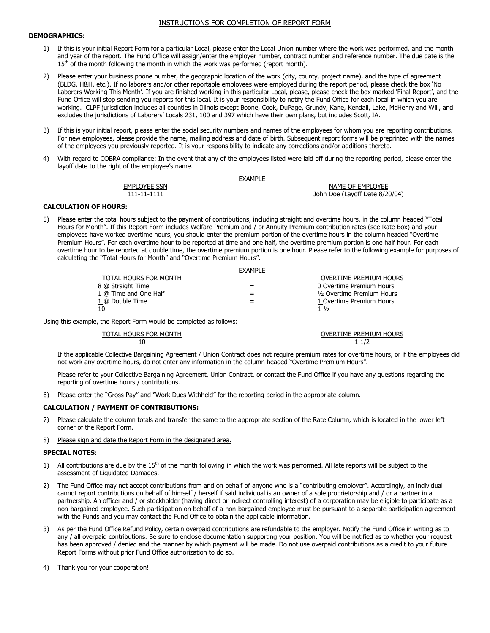#### INSTRUCTIONS FOR COMPLETION OF REPORT FORM

#### **DEMOGRAPHICS:**

- 1) If this is your initial Report Form for a particular Local, please enter the Local Union number where the work was performed, and the month and year of the report. The Fund Office will assign/enter the employer number, contract number and reference number. The due date is the  $15<sup>th</sup>$  of the month following the month in which the work was performed (report month).
- 2) Please enter your business phone number, the geographic location of the work (city, county, project name), and the type of agreement (BLDG, H&H, etc.). If no laborers and/or other reportable employees were employed during the report period, please check the box 'No Laborers Working This Month'. If you are finished working in this particular Local, please, please check the box marked 'Final Report', and the Fund Office will stop sending you reports for this local. It is your responsibility to notify the Fund Office for each local in which you are working. CLPF jurisdiction includes all counties in Illinois except Boone, Cook, DuPage, Grundy, Kane, Kendall, Lake, McHenry and Will, and excludes the jurisdictions of Laborers' Locals 231, 100 and 397 which have their own plans, but includes Scott, IA.
- 3) If this is your initial report, please enter the social security numbers and names of the employees for whom you are reporting contributions. For new employees, please provide the name, mailing address and date of birth. Subsequent report forms will be preprinted with the names of the employees you previously reported. It is your responsibility to indicate any corrections and/or additions thereto.
- 4) With regard to COBRA compliance: In the event that any of the employees listed were laid off during the reporting period, please enter the layoff date to the right of the employee's name.

**FXAMPLE** 

EMPLOYEE SSN NAME OF EMPLOYEE 111-11-1111 John Doe (Layoff Date 8/20/04)

#### **CALCULATION OF HOURS:**

5) Please enter the total hours subject to the payment of contributions, including straight and overtime hours, in the column headed "Total Hours for Month". If this Report Form includes Welfare Premium and / or Annuity Premium contribution rates (see Rate Box) and your employees have worked overtime hours, you should enter the premium portion of the overtime hours in the column headed "Overtime Premium Hours". For each overtime hour to be reported at time and one half, the overtime premium portion is one half hour. For each overtime hour to be reported at double time, the overtime premium portion is one hour. Please refer to the following example for purposes of calculating the "Total Hours for Month" and "Overtime Premium Hours".

|                       | <b>FXAMPIF</b> |                            |
|-----------------------|----------------|----------------------------|
| TOTAL HOURS FOR MONTH |                | OVERTIME PREMIUM HOURS     |
| 8 @ Straight Time     |                | 0 Overtime Premium Hours   |
| 1 @ Time and One Half |                | 1/2 Overtime Premium Hours |
| 1 @ Double Time       |                | 1 Overtime Premium Hours   |
| 10                    |                | $1\frac{1}{2}$             |

Using this example, the Report Form would be completed as follows:

 $10$  1  $1/2$ 

TOTAL HOURS FOR MONTH 10<br>10<br>11/2

If the applicable Collective Bargaining Agreement / Union Contract does not require premium rates for overtime hours, or if the employees did not work any overtime hours, do not enter any information in the column headed "Overtime Premium Hours".

Please refer to your Collective Bargaining Agreement, Union Contract, or contact the Fund Office if you have any questions regarding the reporting of overtime hours / contributions.

6) Please enter the "Gross Pay" and "Work Dues Withheld" for the reporting period in the appropriate column.

#### **CALCULATION / PAYMENT OF CONTRIBUTIONS:**

- 7) Please calculate the column totals and transfer the same to the appropriate section of the Rate Column, which is located in the lower left corner of the Report Form.
- 8) Please sign and date the Report Form in the designated area.

#### **SPECIAL NOTES:**

- 1) All contributions are due by the  $15<sup>th</sup>$  of the month following in which the work was performed. All late reports will be subject to the assessment of Liquidated Damages.
- 2) The Fund Office may not accept contributions from and on behalf of anyone who is a "contributing employer". Accordingly, an individual cannot report contributions on behalf of himself / herself if said individual is an owner of a sole proprietorship and / or a partner in a partnership. An officer and / or stockholder (having direct or indirect controlling interest) of a corporation may be eligible to participate as a non-bargained employee. Such participation on behalf of a non-bargained employee must be pursuant to a separate participation agreement with the Funds and you may contact the Fund Office to obtain the applicable information.
- 3) As per the Fund Office Refund Policy, certain overpaid contributions are refundable to the employer. Notify the Fund Office in writing as to any / all overpaid contributions. Be sure to enclose documentation supporting your position. You will be notified as to whether your request has been approved / denied and the manner by which payment will be made. Do not use overpaid contributions as a credit to your future Report Forms without prior Fund Office authorization to do so.

4) Thank you for your cooperation!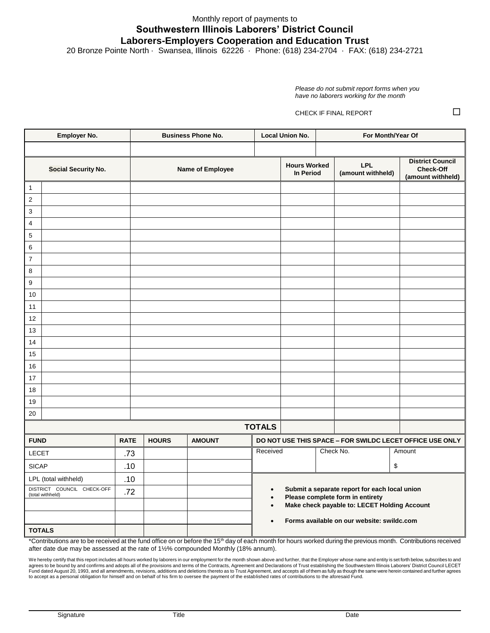## Monthly report of payments to **Southwestern Illinois Laborers' District Council Laborers-Employers Cooperation and Education Trust**

20 Bronze Pointe North · Swansea, Illinois 62226 · Phone: (618) 234-2704 · FAX: (618) 234-2721

*Please do not submit report forms when you have no laborers working for the month* 

CHECK IF FINAL REPORT

| Employer No.               |                                                |             | <b>Business Phone No.</b> |                  | <b>Local Union No.</b>                     |                                                                                               | For Month/Year Of                                        |                                               |                                                                  |
|----------------------------|------------------------------------------------|-------------|---------------------------|------------------|--------------------------------------------|-----------------------------------------------------------------------------------------------|----------------------------------------------------------|-----------------------------------------------|------------------------------------------------------------------|
|                            |                                                |             |                           |                  |                                            |                                                                                               |                                                          |                                               |                                                                  |
| <b>Social Security No.</b> |                                                |             |                           | Name of Employee |                                            | <b>Hours Worked</b><br>In Period                                                              |                                                          | <b>LPL</b><br>(amount withheld)               | <b>District Council</b><br><b>Check-Off</b><br>(amount withheld) |
| $\mathbf{1}$               |                                                |             |                           |                  |                                            |                                                                                               |                                                          |                                               |                                                                  |
| $\overline{2}$             |                                                |             |                           |                  |                                            |                                                                                               |                                                          |                                               |                                                                  |
| 3                          |                                                |             |                           |                  |                                            |                                                                                               |                                                          |                                               |                                                                  |
| $\overline{4}$             |                                                |             |                           |                  |                                            |                                                                                               |                                                          |                                               |                                                                  |
| 5                          |                                                |             |                           |                  |                                            |                                                                                               |                                                          |                                               |                                                                  |
| 6                          |                                                |             |                           |                  |                                            |                                                                                               |                                                          |                                               |                                                                  |
| $\overline{7}$             |                                                |             |                           |                  |                                            |                                                                                               |                                                          |                                               |                                                                  |
| 8                          |                                                |             |                           |                  |                                            |                                                                                               |                                                          |                                               |                                                                  |
| 9                          |                                                |             |                           |                  |                                            |                                                                                               |                                                          |                                               |                                                                  |
| 10                         |                                                |             |                           |                  |                                            |                                                                                               |                                                          |                                               |                                                                  |
| 11                         |                                                |             |                           |                  |                                            |                                                                                               |                                                          |                                               |                                                                  |
| 12                         |                                                |             |                           |                  |                                            |                                                                                               |                                                          |                                               |                                                                  |
| 13                         |                                                |             |                           |                  |                                            |                                                                                               |                                                          |                                               |                                                                  |
| 14                         |                                                |             |                           |                  |                                            |                                                                                               |                                                          |                                               |                                                                  |
| 15<br>16                   |                                                |             |                           |                  |                                            |                                                                                               |                                                          |                                               |                                                                  |
| 17                         |                                                |             |                           |                  |                                            |                                                                                               |                                                          |                                               |                                                                  |
| 18                         |                                                |             |                           |                  |                                            |                                                                                               |                                                          |                                               |                                                                  |
| 19                         |                                                |             |                           |                  |                                            |                                                                                               |                                                          |                                               |                                                                  |
| 20                         |                                                |             |                           |                  |                                            |                                                                                               |                                                          |                                               |                                                                  |
|                            |                                                |             |                           |                  | <b>TOTALS</b>                              |                                                                                               |                                                          |                                               |                                                                  |
| <b>FUND</b>                |                                                | <b>RATE</b> | <b>HOURS</b>              | <b>AMOUNT</b>    |                                            |                                                                                               | DO NOT USE THIS SPACE - FOR SWILDC LECET OFFICE USE ONLY |                                               |                                                                  |
| <b>LECET</b>               |                                                | .73         |                           |                  | Received                                   |                                                                                               |                                                          | Check No.                                     | Amount                                                           |
| <b>SICAP</b>               |                                                | .10         |                           |                  |                                            |                                                                                               |                                                          |                                               | \$                                                               |
| LPL (total withheld)       |                                                | .10         |                           |                  |                                            |                                                                                               |                                                          |                                               |                                                                  |
|                            | DISTRICT COUNCIL CHECK-OFF<br>(total withheld) |             |                           |                  | $\bullet$                                  |                                                                                               |                                                          | Submit a separate report for each local union |                                                                  |
|                            |                                                |             |                           |                  |                                            | Please complete form in entirety<br>$\bullet$<br>Make check payable to: LECET Holding Account |                                                          |                                               |                                                                  |
|                            |                                                |             |                           |                  |                                            |                                                                                               |                                                          |                                               |                                                                  |
|                            | <b>TOTALS</b>                                  |             |                           |                  | Forms available on our website: swildc.com |                                                                                               |                                                          |                                               |                                                                  |

\*Contributions are to be received at the fund office on or before the 15th day of each month for hours worked during the previous month. Contributions received after date due may be assessed at the rate of 1½% compounded Monthly (18% annum).

We hereby certify that this report includes all hours worked by laborers in our employment for the month shown above and further, that the Employer whose name and entity is set forth below, subscribes to and<br>agrees to be b Fund dated August 20, 1993, and all amendments, revisions, additions and deletions thereto as to Trust Agreement, and accepts all of them as fully as though the same were herein contained and further agrees<br>to accept as a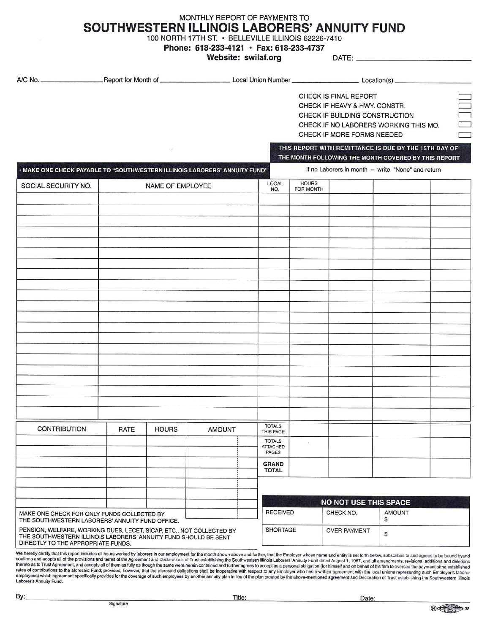## MONTHLY REPORT OF PAYMENTS TO SOUTHWESTERN ILLINOIS LABORERS' ANNUITY FUND

100 NORTH 17TH ST. · BELLEVILLE ILLINOIS 62226-7410

Phone: 618-233-4121 · Fax: 618-233-4737

Website: swilaf.org

DATE: \_

|                                                                                                                                                                                                                                                                                                                                                                                                                                              |      |                  |               |                                           |                           | CHECK IS FINAL REPORT<br>CHECK IF HEAVY & HWY. CONSTR.<br>CHECK IF BUILDING CONSTRUCTION<br>CHECK IF MORE FORMS NEEDED | CHECK IF NO LABORERS WORKING THIS MO.                                                                         | $\Box$ |
|----------------------------------------------------------------------------------------------------------------------------------------------------------------------------------------------------------------------------------------------------------------------------------------------------------------------------------------------------------------------------------------------------------------------------------------------|------|------------------|---------------|-------------------------------------------|---------------------------|------------------------------------------------------------------------------------------------------------------------|---------------------------------------------------------------------------------------------------------------|--------|
|                                                                                                                                                                                                                                                                                                                                                                                                                                              |      |                  |               |                                           |                           |                                                                                                                        | THIS REPORT WITH REMITTANCE IS DUE BY THE 15TH DAY OF<br>THE MONTH FOLLOWING THE MONTH COVERED BY THIS REPORT |        |
| . MAKE ONE CHECK PAYABLE TO "SOUTHWESTERN ILLINOIS LABORERS' ANNUITY FUND"                                                                                                                                                                                                                                                                                                                                                                   |      |                  |               |                                           |                           |                                                                                                                        | If no Laborers in month - write "None" and return                                                             |        |
| SOCIAL SECURITY NO.                                                                                                                                                                                                                                                                                                                                                                                                                          |      | NAME OF EMPLOYEE |               | LOCAL<br>NO.                              | <b>HOURS</b><br>FOR MONTH |                                                                                                                        |                                                                                                               |        |
|                                                                                                                                                                                                                                                                                                                                                                                                                                              |      |                  |               |                                           |                           |                                                                                                                        |                                                                                                               |        |
|                                                                                                                                                                                                                                                                                                                                                                                                                                              |      |                  |               |                                           |                           |                                                                                                                        |                                                                                                               |        |
|                                                                                                                                                                                                                                                                                                                                                                                                                                              |      |                  |               |                                           |                           |                                                                                                                        |                                                                                                               |        |
|                                                                                                                                                                                                                                                                                                                                                                                                                                              |      |                  |               |                                           |                           |                                                                                                                        |                                                                                                               |        |
|                                                                                                                                                                                                                                                                                                                                                                                                                                              |      |                  |               |                                           |                           |                                                                                                                        |                                                                                                               |        |
|                                                                                                                                                                                                                                                                                                                                                                                                                                              |      |                  |               |                                           |                           |                                                                                                                        |                                                                                                               |        |
|                                                                                                                                                                                                                                                                                                                                                                                                                                              |      |                  |               |                                           |                           |                                                                                                                        |                                                                                                               |        |
|                                                                                                                                                                                                                                                                                                                                                                                                                                              |      |                  |               |                                           |                           |                                                                                                                        |                                                                                                               |        |
|                                                                                                                                                                                                                                                                                                                                                                                                                                              |      |                  |               |                                           |                           |                                                                                                                        |                                                                                                               |        |
|                                                                                                                                                                                                                                                                                                                                                                                                                                              |      |                  |               |                                           |                           |                                                                                                                        |                                                                                                               |        |
|                                                                                                                                                                                                                                                                                                                                                                                                                                              |      |                  |               |                                           |                           |                                                                                                                        |                                                                                                               |        |
|                                                                                                                                                                                                                                                                                                                                                                                                                                              |      |                  |               |                                           |                           |                                                                                                                        |                                                                                                               |        |
|                                                                                                                                                                                                                                                                                                                                                                                                                                              |      |                  |               |                                           |                           |                                                                                                                        |                                                                                                               |        |
|                                                                                                                                                                                                                                                                                                                                                                                                                                              |      |                  |               |                                           |                           |                                                                                                                        |                                                                                                               |        |
|                                                                                                                                                                                                                                                                                                                                                                                                                                              |      |                  |               |                                           |                           |                                                                                                                        |                                                                                                               |        |
|                                                                                                                                                                                                                                                                                                                                                                                                                                              |      |                  |               |                                           |                           |                                                                                                                        |                                                                                                               |        |
|                                                                                                                                                                                                                                                                                                                                                                                                                                              |      |                  |               |                                           |                           |                                                                                                                        |                                                                                                               |        |
| <b>CONTRIBUTION</b>                                                                                                                                                                                                                                                                                                                                                                                                                          | RATE | <b>HOURS</b>     | <b>AMOUNT</b> | <b>TOTALS</b><br>THIS PAGE                |                           |                                                                                                                        |                                                                                                               |        |
|                                                                                                                                                                                                                                                                                                                                                                                                                                              |      |                  |               | <b>TOTALS</b><br><b>ATTACHED</b><br>PAGES |                           |                                                                                                                        |                                                                                                               |        |
|                                                                                                                                                                                                                                                                                                                                                                                                                                              |      |                  |               | <b>GRAND</b><br><b>TOTAL</b>              |                           |                                                                                                                        |                                                                                                               |        |
|                                                                                                                                                                                                                                                                                                                                                                                                                                              |      |                  |               |                                           |                           |                                                                                                                        |                                                                                                               |        |
|                                                                                                                                                                                                                                                                                                                                                                                                                                              |      |                  |               |                                           |                           |                                                                                                                        |                                                                                                               |        |
| MAKE ONE CHECK FOR ONLY FUNDS COLLECTED BY<br>THE SOUTHWESTERN LABORERS' ANNUITY FUND OFFICE.                                                                                                                                                                                                                                                                                                                                                |      |                  |               | <b>RECEIVED</b>                           |                           | <b>NO NOT USE THIS SPACE</b><br>CHECK NO.                                                                              | <b>AMOUNT</b><br>\$                                                                                           |        |
| PENSION, WELFARE, WORKING DUES, LECET, SICAP, ETC., NOT COLLECTED BY<br>THE SOUTHWESTERN ILLINOIS LABORERS' ANNUITY FUND SHOULD BE SENT<br>DIRECTLY TO THE APPROPRIATE FUNDS.                                                                                                                                                                                                                                                                |      |                  |               | <b>SHORTAGE</b>                           |                           | <b>OVER PAYMENT</b>                                                                                                    | \$                                                                                                            |        |
| We hereby certify that this report includes all hours worked by laborers in our employment for the month shown above and further, that the Employer whose name and entity is set forth below, subscribes to and agrees to be b<br>confirms and adopts all of the provisions and terms of the Agreement and Declarations of Trust establishing the Southwestern Illinois Laborers' Appulty Fund dated August 1, 1987, and all among producers |      |                  |               |                                           |                           |                                                                                                                        |                                                                                                               |        |

continues and adopts all of the provisions and terms of the Agreement and Declarations of Trust establishing the Southwestern Illinois Laborers' Annuity Fund dated August 1, 1987, and all amendments, revisions, additions a

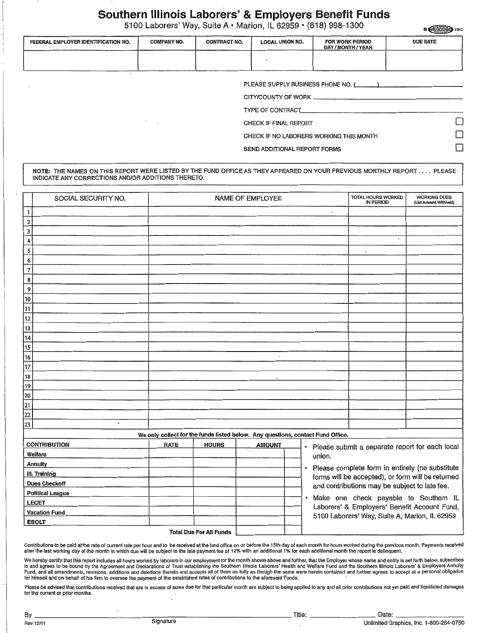# Southern Illinois Laborers' & Employers Benefit Funds<br>5100 Laborers' Way, Suite A · Marion, iL 62959 · (618) 998-1300

|                                     |                                              |                     | 5100 Laborers' Way, Suite A • Marion, iL 62959 • (618) 998-1300 |                                   | <b>® (三) GCIU (三) 118-C</b> |  |  |  |  |
|-------------------------------------|----------------------------------------------|---------------------|-----------------------------------------------------------------|-----------------------------------|-----------------------------|--|--|--|--|
| FEDERAL EMPLOYER IDENTIFICATION NO. | <b>COMPANY NO.</b>                           | <b>CONTRACT NO.</b> | <b>LOCAL UNION NO.</b>                                          | FOR WORK PERIOD<br>DAY/MONTH/YEAR | <b>DUE DATE</b>             |  |  |  |  |
|                                     |                                              |                     |                                                                 |                                   |                             |  |  |  |  |
|                                     |                                              |                     |                                                                 |                                   |                             |  |  |  |  |
|                                     | PLEASE SUPPLY BUSINESS PHONE NO. (COLLECTION |                     |                                                                 |                                   |                             |  |  |  |  |
|                                     |                                              |                     |                                                                 |                                   |                             |  |  |  |  |
|                                     |                                              |                     | TYPE OF CONTRACT                                                |                                   |                             |  |  |  |  |

SEND ADDITIONAL REPORT FORMS

CHECK IF NO LABORERS WORKING THIS MONTH

CHECK IF FINAL REPORT

NOTE: THE NAMES ON THIS REPORT WERE LISTED BY THE FUND OFFICE AS THEY APPEARED ON YOUR PREVIOUS MONTHLY REPORT .... PLEASE INDICATE ANY CORRECTIONS AND/OR ADDITIONS THERETO.

|                         | SOCIAL SECURITY NO.  |                                                                                 |                                | NAME OF EMPLOYEE |        | TOTAL HOURS WORKED                                                                      | <b>WORKING DUES</b><br>(List Amount Withheld) |
|-------------------------|----------------------|---------------------------------------------------------------------------------|--------------------------------|------------------|--------|-----------------------------------------------------------------------------------------|-----------------------------------------------|
| 1                       |                      |                                                                                 |                                |                  |        |                                                                                         |                                               |
| 2                       |                      |                                                                                 |                                |                  |        |                                                                                         |                                               |
| 3                       |                      |                                                                                 |                                |                  |        |                                                                                         |                                               |
| 4                       |                      |                                                                                 |                                |                  |        | $\epsilon$                                                                              |                                               |
| 5                       |                      |                                                                                 |                                |                  |        |                                                                                         |                                               |
| 6                       |                      |                                                                                 |                                |                  |        |                                                                                         |                                               |
| $\overline{\mathbf{7}}$ |                      |                                                                                 |                                |                  |        |                                                                                         |                                               |
| 8                       |                      |                                                                                 |                                |                  |        |                                                                                         |                                               |
| 9                       |                      |                                                                                 |                                |                  |        |                                                                                         |                                               |
| 10                      |                      |                                                                                 |                                |                  |        |                                                                                         |                                               |
| 11                      |                      |                                                                                 |                                |                  |        |                                                                                         |                                               |
| 12                      |                      |                                                                                 |                                |                  |        |                                                                                         |                                               |
| 13                      |                      |                                                                                 |                                |                  |        |                                                                                         |                                               |
| $\overline{14}$         |                      |                                                                                 |                                |                  |        |                                                                                         |                                               |
| 15                      |                      |                                                                                 |                                |                  |        |                                                                                         |                                               |
| 16                      |                      |                                                                                 |                                | $\cdot$          |        |                                                                                         |                                               |
| 17                      |                      |                                                                                 |                                |                  |        |                                                                                         |                                               |
| 18                      |                      |                                                                                 |                                |                  |        |                                                                                         |                                               |
| 19                      |                      |                                                                                 |                                |                  |        |                                                                                         |                                               |
| 20                      |                      |                                                                                 |                                |                  |        |                                                                                         |                                               |
| 21                      |                      |                                                                                 |                                |                  |        |                                                                                         |                                               |
| 22                      |                      |                                                                                 |                                |                  |        |                                                                                         |                                               |
| 23                      | $\cdot$              |                                                                                 |                                |                  |        |                                                                                         |                                               |
|                         |                      | We only collect for the funds listed below. Any questions, contact Fund Office. |                                |                  |        |                                                                                         |                                               |
|                         | <b>CONTRIBUTION</b>  | <b>RATE</b>                                                                     | <b>HOURS</b>                   | <b>AMOUNT</b>    |        | · Please submit a separate report for each local                                        |                                               |
|                         | Welfare              |                                                                                 |                                |                  | union. |                                                                                         |                                               |
|                         | Annuity              |                                                                                 |                                |                  |        | · Please complete form in entirety (no substitute                                       |                                               |
|                         | III. Training        |                                                                                 |                                |                  |        | forms will be accepted), or form will be returned                                       |                                               |
|                         | <b>Dues Checkoff</b> |                                                                                 |                                |                  |        | and contributions may be subject to late fee.                                           |                                               |
|                         | Political League     |                                                                                 |                                |                  |        |                                                                                         |                                               |
|                         | <b>LECET</b>         |                                                                                 |                                |                  |        | · Make one check payable to Southern IL<br>Laborers' & Employers' Benefit Account Fund, |                                               |
|                         | <b>Vacation Fund</b> |                                                                                 |                                |                  |        | 5100 Laborers' Way, Suite A, Marion, IL 62959                                           |                                               |
|                         | <b>EBOLT</b>         |                                                                                 |                                |                  |        |                                                                                         |                                               |
|                         |                      |                                                                                 | <b>Total Due For All Funds</b> |                  |        |                                                                                         |                                               |

Contributions to be paid at the rate of current rate per hour and to be received at the fund office on or before the 15th day of each month for hours worked during the previous month. Payments received after the last working day of the month in which due will be subject to the late payment fee of 12% with an additional 1% for each additional month the report is delinquent.

We hereby certify that this report includes all hours worked by laborers in our employment for the month shown above and further, that the Employer whose name and entity is set forth below, subscribes<br>to and agrees to be b for himself and on behalf of his firm to oversee the payment of the established rates of contributions to the aforesaid Funds.

Please be advised that contributions received that are in excess of sums due for that particular month are subject to being applied to any and all prior contributions not yet paid and liquidated damages for the current or prior months.

Г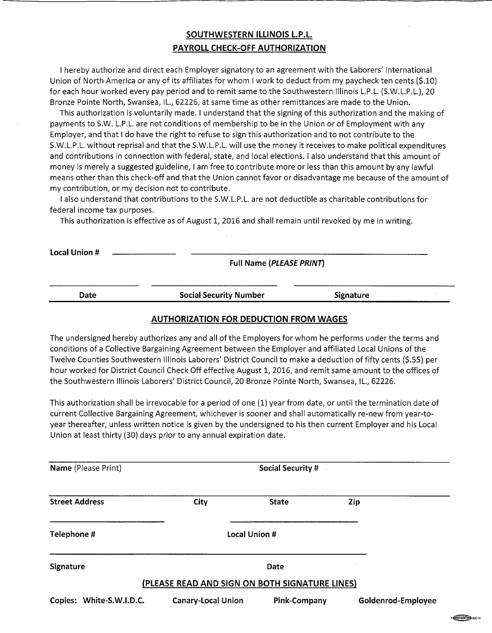## SOUTHWESTERN ILLINOIS L.P.L. PAYROLL CHECK-OFF AUTHORIZATION

I hereby authorize and direct each Employer signatory to an agreement with the Laborers' International Union of North America or any of its affiliates for whom I work to deduct from my paycheck ten cents (\$.10) for each hour worked every pay period and to remit same to the Southwestern Illinois L.P.L. (S.W.L.P.L.), 20 Bronze Pointe North, Swansea, IL., 62226, at same time as other remittances are made to the Union.

This authorization is voluntarily made. I understand that the signing of this authorization and the making of payments to S.W. L.P.L. are not conditions of membership to be in the Union or of Employment with any Employer, and that I do have the right to refuse to sign this authorization and to not contribute to the S.W.L.P.L. without reprisal and that the S.W.L.P.L. will use the money it receives to make political expenditures and contributions in connection with federal, state, and local elections. I also understand that this amount of money is merely a suggested guideline, I am free to contribute more or less than this amount by any lawful means other than this check-off and that the Union cannot favor or disadvantage me because of the amount of my contribution, or my decision not to contribute.

I also understand that contributions to the S.W.L.P.L. are not deductible as charitable contributions for federal income tax purposes.

This authorization is effective as of August 1, 2016 and shall remain until revoked by me in writing.

**Local Union #** 

Full Name (PLEASE PRINT)

Date

**Social Security Number** 

**Signature** 

### **AUTHORIZATION FOR DEDUCTION FROM WAGES**

The undersigned hereby authorizes any and all of the Employers for whom he performs under the terms and conditions of a Collective Bargaining Agreement between the Employer and affiliated Local Unions of the Twelve Counties Southwestern Illinois Laborers' District Council to make a deduction of fifty cents (\$.55) per hour worked for District Council Check Off effective August 1, 2016, and remit same amount to the offices of the Southwestern Illinois Laborers' District Council, 20 Bronze Pointe North, Swansea, IL., 62226.

This authorization shall be irrevocable for a period of one (1) year from date, or until the termination date of current Collective Bargaining Agreement, whichever is sooner and shall automatically re-new from year-toyear thereafter, unless written notice is given by the undersigned to his then current Employer and his Local Union at least thirty (30) days prior to any annual expiration date.

| Name (Please Print)      | <b>Social Security #</b>                       |                     |                    |  |  |  |  |
|--------------------------|------------------------------------------------|---------------------|--------------------|--|--|--|--|
| <b>Street Address</b>    | City                                           | <b>State</b>        | Zip                |  |  |  |  |
| Telephone #              | Local Union #                                  |                     |                    |  |  |  |  |
| Signature                |                                                | Date                |                    |  |  |  |  |
|                          | (PLEASE READ AND SIGN ON BOTH SIGNATURE LINES) |                     |                    |  |  |  |  |
| Copies: White-S.W.I.D.C. | <b>Canary-Local Union</b>                      | <b>Pink-Company</b> | Goldenrod-Employee |  |  |  |  |